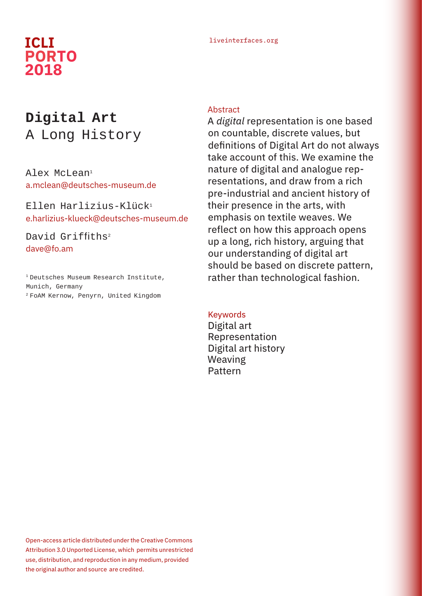# **PORTO 2018**

# liveinterfaces.org **ICLI**

# **Digital Art** A Long History

Alex McLean<sup>1</sup> a.mclean@deutsches-museum.de

Ellen Harlizius-Klück1 e.harlizius-klueck@deutsches-museum.de

David Griffiths<sup>2</sup> dave@fo.am

1 Deutsches Museum Research Institute, Munich, Germany 2 FoAM Kernow, Penyrn, United Kingdom

### **Abstract**

A *digital* representation is one based on countable, discrete values, but definitions of Digital Art do not always take account of this. We examine the nature of digital and analogue representations, and draw from a rich pre-industrial and ancient history of their presence in the arts, with emphasis on textile weaves. We reflect on how this approach opens up a long, rich history, arguing that our understanding of digital art should be based on discrete pattern, rather than technological fashion.

#### Keywords

Digital art Representation Digital art history Weaving Pattern

Open-access article distributed under the Creative Commons Attribution 3.0 Unported License, which permits unrestricted use, distribution, and reproduction in any medium, provided the original author and source are credited.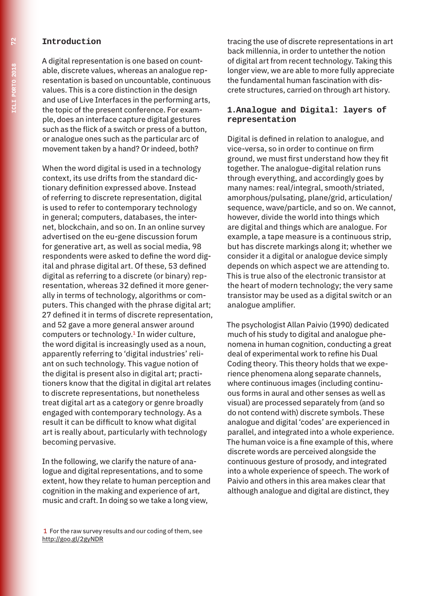#### **Introduction**

A digital representation is one based on countable, discrete values, whereas an analogue representation is based on uncountable, continuous values. This is a core distinction in the design and use of Live Interfaces in the performing arts, the topic of the present conference. For example, does an interface capture digital gestures such as the flick of a switch or press of a button, or analogue ones such as the particular arc of movement taken by a hand? Or indeed, both?

When the word digital is used in a technology context, its use drifts from the standard dictionary definition expressed above. Instead of referring to discrete representation, digital is used to refer to contemporary technology in general; computers, databases, the internet, blockchain, and so on. In an online survey advertised on the eu-gene discussion forum for generative art, as well as social media, 98 respondents were asked to define the word digital and phrase digital art. Of these, 53 defined digital as referring to a discrete (or binary) representation, whereas 32 defined it more generally in terms of technology, algorithms or computers. This changed with the phrase digital art; 27 defined it in terms of discrete representation, and 52 gave a more general answer around computers or technology.<sup>1</sup> In wider culture, the word digital is increasingly used as a noun, apparently referring to 'digital industries' reliant on such technology. This vague notion of the digital is present also in digital art; practitioners know that the digital in digital art relates to discrete representations, but nonetheless treat digital art as a category or genre broadly engaged with contemporary technology. As a result it can be difficult to know what digital art is really about, particularly with technology becoming pervasive.

In the following, we clarify the nature of analogue and digital representations, and to some extent, how they relate to human perception and cognition in the making and experience of art, music and craft. In doing so we take a long view,

 1 For the raw survey results and our coding of them, see http://goo.gl/2gyNDR

tracing the use of discrete representations in art back millennia, in order to untether the notion of digital art from recent technology. Taking this longer view, we are able to more fully appreciate the fundamental human fascination with discrete structures, carried on through art history.

#### **1.Analogue and Digital: layers of representation**

Digital is defined in relation to analogue, and vice-versa, so in order to continue on firm ground, we must first understand how they fit together. The analogue-digital relation runs through everything, and accordingly goes by many names: real/integral, smooth/striated, amorphous/pulsating, plane/grid, articulation/ sequence, wave/particle, and so on. We cannot, however, divide the world into things which are digital and things which are analogue. For example, a tape measure is a continuous strip, but has discrete markings along it; whether we consider it a digital or analogue device simply depends on which aspect we are attending to. This is true also of the electronic transistor at the heart of modern technology; the very same transistor may be used as a digital switch or an analogue amplifier.

The psychologist Allan Paivio (1990) dedicated much of his study to digital and analogue phenomena in human cognition, conducting a great deal of experimental work to refine his Dual Coding theory. This theory holds that we experience phenomena along separate channels, where continuous images (including continuous forms in aural and other senses as well as visual) are processed separately from (and so do not contend with) discrete symbols. These analogue and digital 'codes' are experienced in parallel, and integrated into a whole experience. The human voice is a fine example of this, where discrete words are perceived alongside the continuous gesture of prosody, and integrated into a whole experience of speech. The work of Paivio and others in this area makes clear that although analogue and digital are distinct, they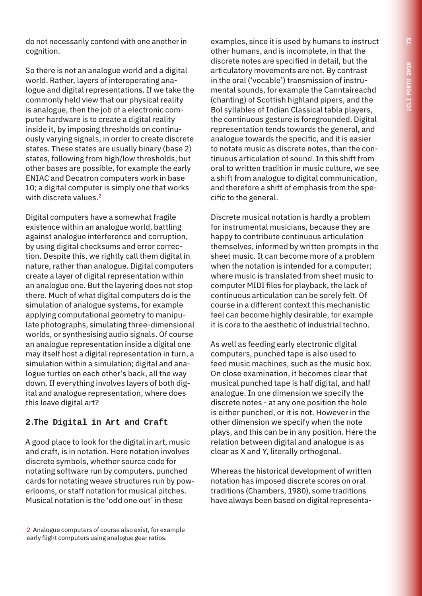do not necessarily contend with one another in cognition.

So there is not an analogue world and a digital world. Rather, layers of interoperating analogue and digital representations. If we take the commonly held view that our physical reality is analogue, then the job of a electronic computer hardware is to create a digital reality inside it, by imposing thresholds on continuously varying signals, in order to create discrete states. These states are usually binary (base 2) states, following from high/low thresholds, but other bases are possible, for example the early ENIAC and Decatron computers work in base 10; a digital computer is simply one that works with discrete values.<sup>2</sup>

Digital computers have a somewhat fragile existence within an analogue world, battling against analogue interference and corruption, by using digital checksums and error correction. Despite this, we rightly call them digital in nature, rather than analogue. Digital computers create a layer of digital representation within an analogue one. But the layering does not stop there. Much of what digital computers do is the simulation of analogue systems, for example applying computational geometry to manipulate photographs, simulating three-dimensional worlds, or synthesising audio signals. Of course an analogue representation inside a digital one may itself host a digital representation in turn, a simulation within a simulation; digital and analogue turtles on each other's back, all the way down. If everything involves layers of both digital and analogue representation, where does this leave digital art?

# **2.The Digital in Art and Craft**

A good place to look for the digital in art, music and craft, is in notation. Here notation involves discrete symbols, whether source code for notating software run by computers, punched cards for notating weave structures run by powerlooms, or staff notation for musical pitches. Musical notation is the 'odd one out' in these

2 Analogue computers of course also exist, for example early flight computers using analogue gear ratios.

examples, since it is used by humans to instruct other humans, and is incomplete, in that the discrete notes are specified in detail, but the articulatory movements are not. By contrast in the oral ('vocable') transmission of instrumental sounds, for example the Canntaireachd (chanting) of Scottish highland pipers, and the Bol syllables of Indian Classical tabla players, the continuous gesture is foregrounded. Digital representation tends towards the general, and analogue towards the specific, and it is easier to notate music as discrete notes, than the continuous articulation of sound. In this shift from oral to written tradition in music culture, we see a shift from analogue to digital communication, and therefore a shift of emphasis from the specific to the general.

Discrete musical notation is hardly a problem for instrumental musicians, because they are happy to contribute continuous articulation themselves, informed by written prompts in the sheet music. It can become more of a problem when the notation is intended for a computer; where music is translated from sheet music to computer MIDI files for playback, the lack of continuous articulation can be sorely felt. Of course in a different context this mechanistic feel can become highly desirable, for example it is core to the aesthetic of industrial techno.

As well as feeding early electronic digital computers, punched tape is also used to feed music machines, such as the music box. On close examination, it becomes clear that musical punched tape is half digital, and half analogue. In one dimension we specify the discrete notes - at any one position the hole is either punched, or it is not. However in the other dimension we specify when the note plays, and this can be in any position. Here the relation between digital and analogue is as clear as X and Y, literally orthogonal.

Whereas the historical development of written notation has imposed discrete scores on oral traditions (Chambers, 1980), some traditions have always been based on digital representa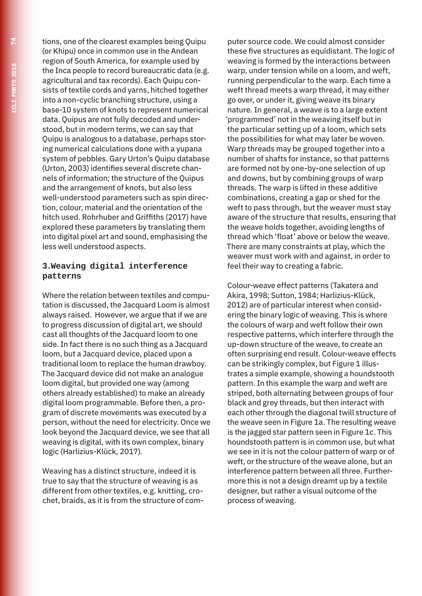tions, one of the clearest examples being Quipu (or Khipu) once in common use in the Andean region of South America, for example used by the Inca people to record bureaucratic data (e.g. agricultural and tax records). Each Quipu consists of textile cords and yarns, hitched together into a non-cyclic branching structure, using a base-10 system of knots to represent numerical data. Quipus are not fully decoded and understood, but in modern terms, we can say that Quipu is analogous to a database, perhaps storing numerical calculations done with a yupana system of pebbles. Gary Urton's Quipu database (Urton, 2003) identifies several discrete channels of information; the structure of the Quipus and the arrangement of knots, but also less well-understood parameters such as spin direction, colour, material and the orientation of the hitch used. Rohrhuber and Griffiths (2017) have explored these parameters by translating them into digital pixel art and sound, emphasising the less well understood aspects.

#### **3.Weaving digital interference patterns**

Where the relation between textiles and computation is discussed, the Jacquard Loom is almost always raised. However, we argue that if we are to progress discussion of digital art, we should cast all thoughts of the Jacquard loom to one side. In fact there is no such thing as a Jacquard loom, but a Jacquard device, placed upon a traditional loom to replace the human drawboy. The Jacquard device did not make an analogue loom digital, but provided one way (among others already established) to make an already digital loom programmable. Before then, a program of discrete movements was executed by a person, without the need for electricity. Once we look beyond the Jacquard device, we see that all weaving is digital, with its own complex, binary logic (Harlizius-Klück, 2017).

Weaving has a distinct structure, indeed it is true to say that the structure of weaving is as different from other textiles, e.g. knitting, crochet, braids, as it is from the structure of com-

puter source code. We could almost consider these five structures as equidistant. The logic of weaving is formed by the interactions between warp, under tension while on a loom, and weft, running perpendicular to the warp. Each time a weft thread meets a warp thread, it may either go over, or under it, giving weave its binary nature. In general, a weave is to a large extent 'programmed' not in the weaving itself but in the particular setting up of a loom, which sets the possibilities for what may later be woven. Warp threads may be grouped together into a number of shafts for instance, so that patterns are formed not by one-by-one selection of up and downs, but by combining groups of warp threads. The warp is lifted in these additive combinations, creating a gap or shed for the weft to pass through, but the weaver must stay aware of the structure that results, ensuring that the weave holds together, avoiding lengths of thread which 'float' above or below the weave. There are many constraints at play, which the weaver must work with and against, in order to feel their way to creating a fabric.

Colour-weave effect patterns (Takatera and Akira, 1998; Sutton, 1984; Harlizius-Klück, 2012) are of particular interest when considering the binary logic of weaving. This is where the colours of warp and weft follow their own respective patterns, which interfere through the up-down structure of the weave, to create an often surprising end result. Colour-weave effects can be strikingly complex, but Figure 1 illustrates a simple example, showing a houndstooth pattern. In this example the warp and weft are striped, both alternating between groups of four black and grey threads, but then interact with each other through the diagonal twill structure of the weave seen in Figure 1a. The resulting weave is the jagged star pattern seen in Figure 1c. This houndstooth pattern is in common use, but what we see in it is not the colour pattern of warp or of weft, or the structure of the weave alone, but an interference pattern between all three. Furthermore this is not a design dreamt up by a textile designer, but rather a visual outcome of the process of weaving.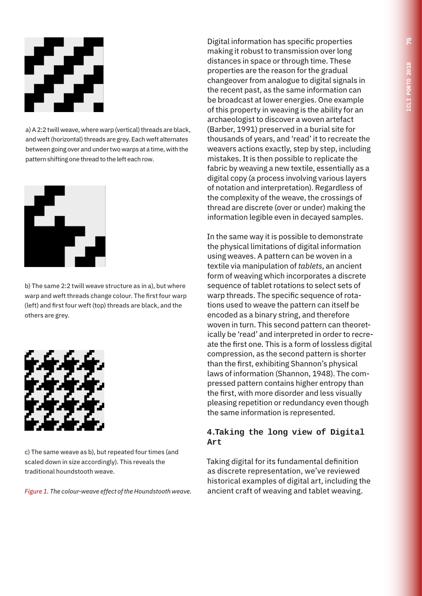

a) A 2:2 twill weave, where warp (vertical) threads are black, and weft (horizontal) threads are grey. Each weft alternates between going over and under two warps at a time, with the pattern shifting one thread to the left each row.



b) The same 2:2 twill weave structure as in a), but where warp and weft threads change colour. The first four warp (left) and first four weft (top) threads are black, and the others are grey.



c) The same weave as b), but repeated four times (and scaled down in size accordingly). This reveals the traditional houndstooth weave.

*Figure 1. The colour-weave effect of the Houndstooth weave.*

Digital information has specific properties making it robust to transmission over long distances in space or through time. These properties are the reason for the gradual changeover from analogue to digital signals in the recent past, as the same information can be broadcast at lower energies. One example of this property in weaving is the ability for an archaeologist to discover a woven artefact (Barber, 1991) preserved in a burial site for thousands of years, and 'read' it to recreate the weavers actions exactly, step by step, including mistakes. It is then possible to replicate the fabric by weaving a new textile, essentially as a digital copy (a process involving various layers of notation and interpretation). Regardless of the complexity of the weave, the crossings of thread are discrete (over or under) making the information legible even in decayed samples.

In the same way it is possible to demonstrate the physical limitations of digital information using weaves. A pattern can be woven in a textile via manipulation of *tablets*, an ancient form of weaving which incorporates a discrete sequence of tablet rotations to select sets of warp threads. The specific sequence of rotations used to weave the pattern can itself be encoded as a binary string, and therefore woven in turn. This second pattern can theoretically be 'read' and interpreted in order to recreate the first one. This is a form of lossless digital compression, as the second pattern is shorter than the first, exhibiting Shannon's physical laws of information (Shannon, 1948). The compressed pattern contains higher entropy than the first, with more disorder and less visually pleasing repetition or redundancy even though the same information is represented.

#### **4.Taking the long view of Digital Art**

Taking digital for its fundamental definition as discrete representation, we've reviewed historical examples of digital art, including the ancient craft of weaving and tablet weaving.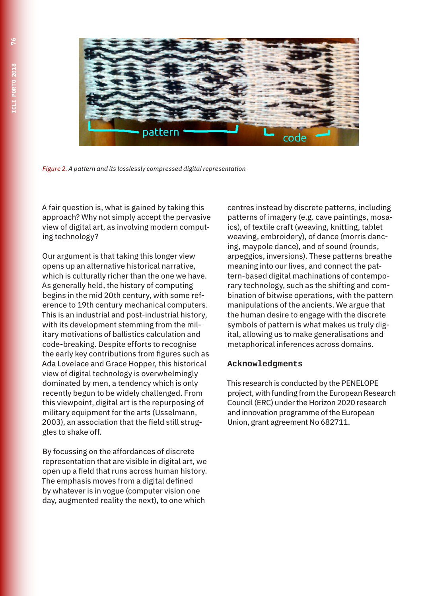

*Figure 2. A pattern and its losslessly compressed digital representation*

A fair question is, what is gained by taking this approach? Why not simply accept the pervasive view of digital art, as involving modern computing technology?

Our argument is that taking this longer view opens up an alternative historical narrative, which is culturally richer than the one we have. As generally held, the history of computing begins in the mid 20th century, with some reference to 19th century mechanical computers. This is an industrial and post-industrial history, with its development stemming from the military motivations of ballistics calculation and code-breaking. Despite efforts to recognise the early key contributions from figures such as Ada Lovelace and Grace Hopper, this historical view of digital technology is overwhelmingly dominated by men, a tendency which is only recently begun to be widely challenged. From this viewpoint, digital art is the repurposing of military equipment for the arts (Usselmann, 2003), an association that the field still struggles to shake off.

By focussing on the affordances of discrete representation that are visible in digital art, we open up a field that runs across human history. The emphasis moves from a digital defined by whatever is in vogue (computer vision one day, augmented reality the next), to one which

centres instead by discrete patterns, including patterns of imagery (e.g. cave paintings, mosaics), of textile craft (weaving, knitting, tablet weaving, embroidery), of dance (morris dancing, maypole dance), and of sound (rounds, arpeggios, inversions). These patterns breathe meaning into our lives, and connect the pattern-based digital machinations of contemporary technology, such as the shifting and combination of bitwise operations, with the pattern manipulations of the ancients. We argue that the human desire to engage with the discrete symbols of pattern is what makes us truly digital, allowing us to make generalisations and metaphorical inferences across domains.

# **Acknowledgments**

This research is conducted by the PENELOPE project, with funding from the European Research Council (ERC) under the Horizon 2020 research and innovation programme of the European Union, grant agreement No 682711.